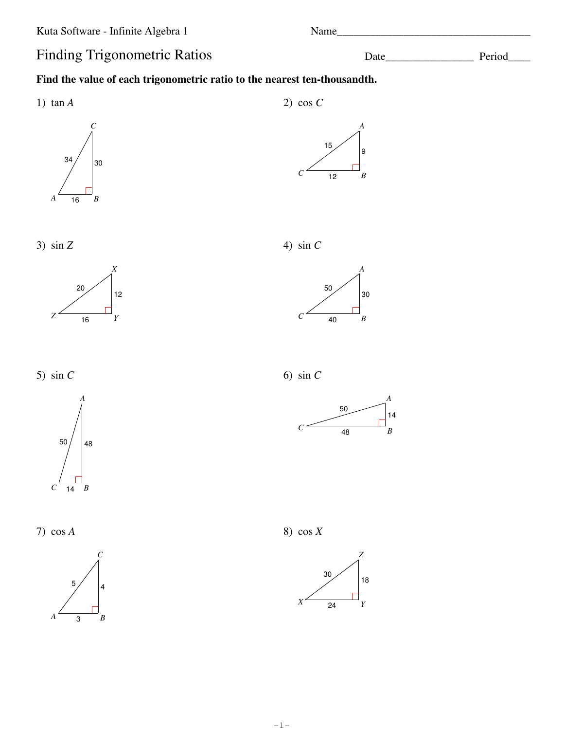Name\_

# **Finding Trigonometric Ratios**

### Find the value of each trigonometric ratio to the nearest ten-thousandth.



2) cos  $C$ 





3)  $\sin Z$ 





5)  $\sin C$ 



 $\boldsymbol{C}$  $\overline{14} \overline{B}$ 

7)  $\cos A$ 



4)  $\sin C$ 

50 30  $\overline{40}$  $B$ 

6) sin  $C$ 



8)  $\cos X$ 



Period Date\_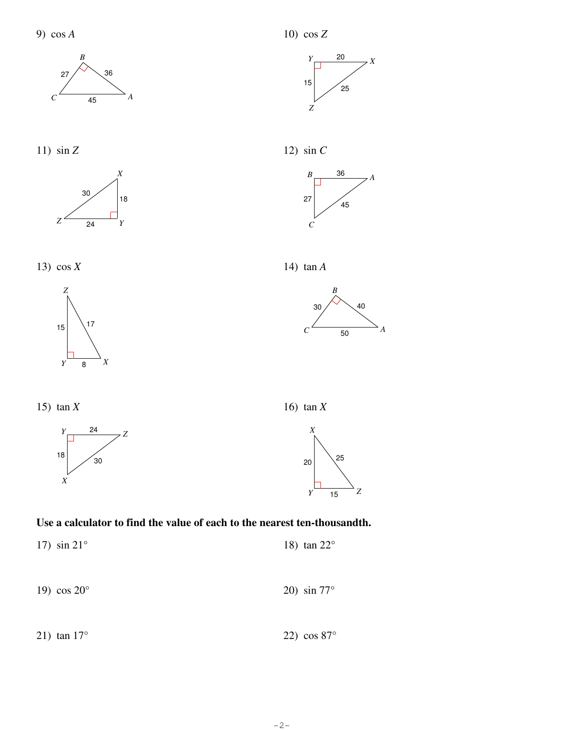













12)  $\sin C$ 











16)  $\tan X$ 



#### Use a calculator to find the value of each to the nearest ten-thousandth.

17)  $\sin 21^{\circ}$ 18)  $\tan 22^\circ$ 19)  $\cos 20^\circ$ 20)  $\sin 77^\circ$ 

21)  $\tan 17^\circ$ 22)  $\cos 87^\circ$ 

 $-2-$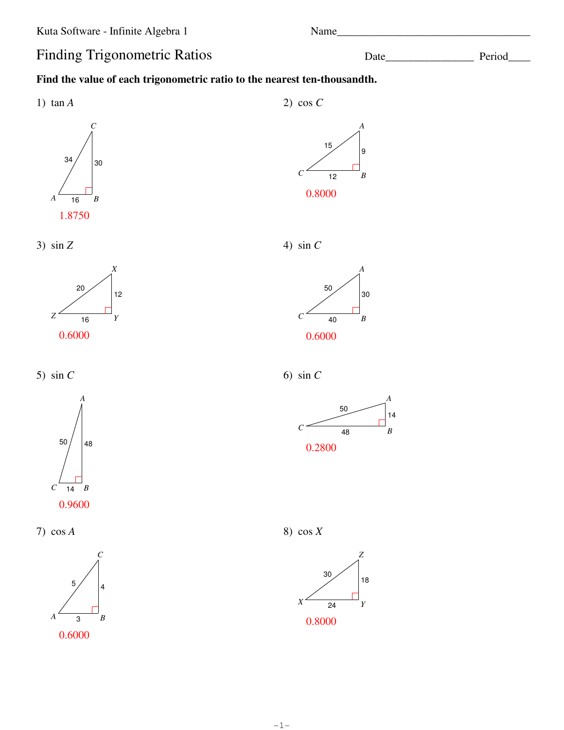Name\_

# **Finding Trigonometric Ratios**

### Find the value of each trigonometric ratio to the nearest ten-thousandth.



2) cos  $C$ 



3)  $\sin Z$ 



5)  $\sin C$ 



7)  $\cos A$ 







4)  $\sin C$ 



6) sin  $C$ 



8)  $cos X$ 



Date\_

9

 $\boldsymbol{B}$ 

\_ Period\_